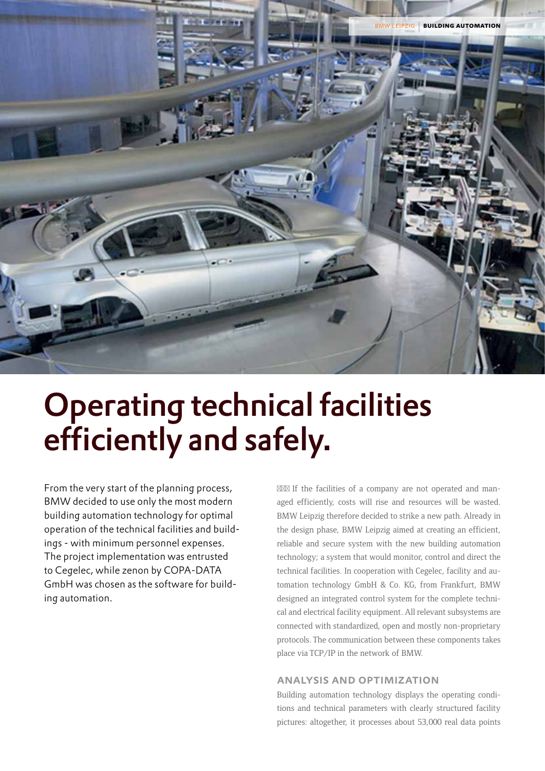

# Operating technical facilities efficiently and safely.

From the very start of the planning process, BMW decided to use only the most modern building automation technology for optimal operation of the technical facilities and buildings - with minimum personnel expenses. The project implementation was entrusted to Cegelec, while zenon by COPA-DATA GmbH was chosen as the software for building automation.

If the facilities of a company are not operated and managed efficiently, costs will rise and resources will be wasted. BMW Leipzig therefore decided to strike a new path. Already in the design phase, BMW Leipzig aimed at creating an efficient, reliable and secure system with the new building automation technology; a system that would monitor, control and direct the technical facilities. In cooperation with Cegelec, facility and automation technology GmbH & Co. KG, from Frankfurt, BMW designed an integrated control system for the complete technical and electrical facility equipment. All relevant subsystems are connected with standardized, open and mostly non-proprietary protocols. The communication between these components takes place via TCP/IP in the network of BMW.

## analysis and optimization

Building automation technology displays the operating conditions and technical parameters with clearly structured facility pictures: altogether, it processes about 53,000 real data points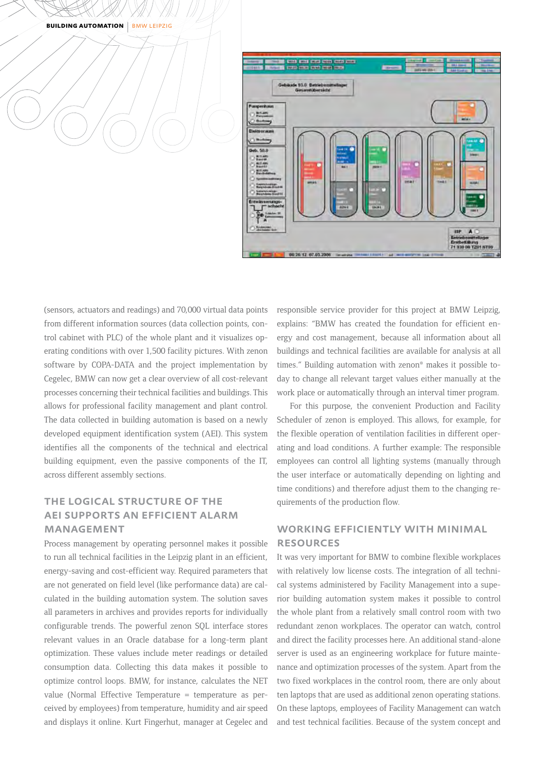**BUILDING AUTOMATION | BMW LEIPZIG** 



(sensors, actuators and readings) and 70,000 virtual data points from different information sources (data collection points, control cabinet with PLC) of the whole plant and it visualizes operating conditions with over 1,500 facility pictures. With zenon software by COPA-DATA and the project implementation by Cegelec, BMW can now get a clear overview of all cost-relevant processes concerning their technical facilities and buildings. This allows for professional facility management and plant control. The data collected in building automation is based on a newly developed equipment identification system (AEI). This system identifies all the components of the technical and electrical building equipment, even the passive components of the IT, across different assembly sections.

# the logical structure of the aei supports an efficient alarm **MANAGEMENT**

Process management by operating personnel makes it possible to run all technical facilities in the Leipzig plant in an efficient, energy-saving and cost-efficient way. Required parameters that are not generated on field level (like performance data) are calculated in the building automation system. The solution saves all parameters in archives and provides reports for individually configurable trends. The powerful zenon SQL interface stores relevant values in an Oracle database for a long-term plant optimization. These values include meter readings or detailed consumption data. Collecting this data makes it possible to optimize control loops. BMW, for instance, calculates the NET value (Normal Effective Temperature = temperature as perceived by employees) from temperature, humidity and air speed and displays it online. Kurt Fingerhut, manager at Cegelec and responsible service provider for this project at BMW Leipzig, explains: "BMW has created the foundation for efficient energy and cost management, because all information about all buildings and technical facilities are available for analysis at all times." Building automation with zenon® makes it possible today to change all relevant target values either manually at the work place or automatically through an interval timer program.

For this purpose, the convenient Production and Facility Scheduler of zenon is employed. This allows, for example, for the flexible operation of ventilation facilities in different operating and load conditions. A further example: The responsible employees can control all lighting systems (manually through the user interface or automatically depending on lighting and time conditions) and therefore adjust them to the changing requirements of the production flow.

## working efficiently with minimal **RESOURCES**

It was very important for BMW to combine flexible workplaces with relatively low license costs. The integration of all technical systems administered by Facility Management into a superior building automation system makes it possible to control the whole plant from a relatively small control room with two redundant zenon workplaces. The operator can watch, control and direct the facility processes here. An additional stand-alone server is used as an engineering workplace for future maintenance and optimization processes of the system. Apart from the two fixed workplaces in the control room, there are only about ten laptops that are used as additional zenon operating stations. On these laptops, employees of Facility Management can watch and test technical facilities. Because of the system concept and